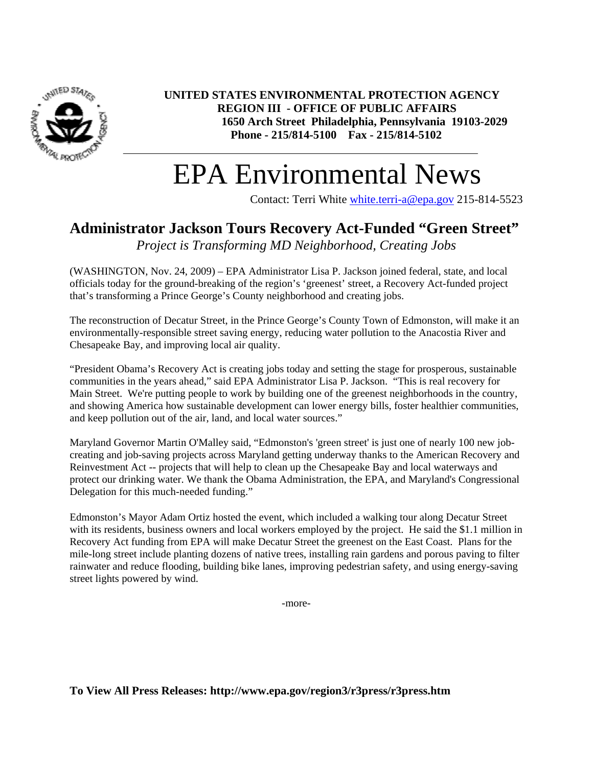

**UNITED STATES ENVIRONMENTAL PROTECTION AGENCY REGION III - OFFICE OF PUBLIC AFFAIRS 1650 Arch Street Philadelphia, Pennsylvania 19103-2029 Phone - 215/814-5100 Fax - 215/814-5102**

## EPA Environmental News

Contact: Terri White white.terri-a@epa.gov 215-814-5523

## **Administrator Jackson Tours Recovery Act-Funded "Green Street"**

*Project is Transforming MD Neighborhood, Creating Jobs* 

(WASHINGTON, Nov. 24, 2009) – EPA Administrator Lisa P. Jackson joined federal, state, and local officials today for the ground-breaking of the region's 'greenest' street, a Recovery Act-funded project that's transforming a Prince George's County neighborhood and creating jobs.

The reconstruction of Decatur Street, in the Prince George's County Town of Edmonston, will make it an environmentally-responsible street saving energy, reducing water pollution to the Anacostia River and Chesapeake Bay, and improving local air quality.

"President Obama's Recovery Act is creating jobs today and setting the stage for prosperous, sustainable communities in the years ahead," said EPA Administrator Lisa P. Jackson. "This is real recovery for Main Street. We're putting people to work by building one of the greenest neighborhoods in the country, and showing America how sustainable development can lower energy bills, foster healthier communities, and keep pollution out of the air, land, and local water sources."

Maryland Governor Martin O'Malley said, "Edmonston's 'green street' is just one of nearly 100 new jobcreating and job-saving projects across Maryland getting underway thanks to the American Recovery and Reinvestment Act -- projects that will help to clean up the Chesapeake Bay and local waterways and protect our drinking water. We thank the Obama Administration, the EPA, and Maryland's Congressional Delegation for this much-needed funding."

Edmonston's Mayor Adam Ortiz hosted the event, which included a walking tour along Decatur Street with its residents, business owners and local workers employed by the project. He said the \$1.1 million in Recovery Act funding from EPA will make Decatur Street the greenest on the East Coast. Plans for the mile-long street include planting dozens of native trees, installing rain gardens and porous paving to filter rainwater and reduce flooding, building bike lanes, improving pedestrian safety, and using energy-saving street lights powered by wind.

-more-

**To View All Press Releases: http://www.epa.gov/region3/r3press/r3press.htm**